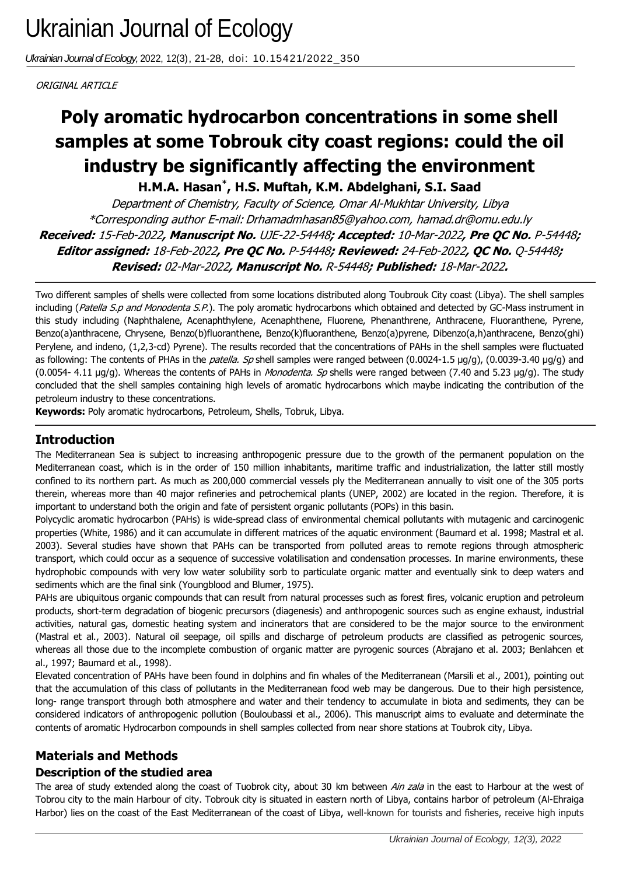*Ukrainian Journal of Ecology,* 2022, 12(3), 21-28, doi: 10.15421/2022\_350

ORIGINAL ARTICLE

# samples at some Tobrouk city coast regions: could the oil **Poly aromatic hydrocarbon concentrations in some shell industry be significantly affecting the environment**

**H.M.A. Hasan\* , H.S. Muftah, K.M. Abdelghani, S.I. Saad**

Department of Chemistry, Faculty of Science, Omar Al-Mukhtar University, Libya \*Corresponding author E-mail: Drhamadmhasan85@yahoo.com, hamad.dr@omu.edu.ly **Received:** 15-Feb-2022**, Manuscript No.** UJE-22-54448**; Accepted:** 10-Mar-2022**, Pre QC No.** P-54448**; Editor assigned:** 18-Feb-2022**, Pre QC No.** P-54448**; Reviewed:** 24-Feb-2022**, QC No.** Q-54448**; Revised:** 02-Mar-2022**, Manuscript No.** R-54448**; Published:** 18-Mar-2022**.**

Two different samples of shells were collected from some locations distributed along Toubrouk City coast (Libya). The shell samples including (Patella S.p and Monodenta S.P.). The poly aromatic hydrocarbons which obtained and detected by GC-Mass instrument in this study including (Naphthalene, Acenaphthylene, Acenaphthene, Fluorene, Phenanthrene, Anthracene, Fluoranthene, Pyrene, Benzo(a)anthracene, Chrysene, Benzo(b)fluoranthene, Benzo(k)fluoranthene, Benzo(a)pyrene, Dibenzo(a,h)anthracene, Benzo(ghi) Perylene, and indeno, (1,2,3-cd) Pyrene). The results recorded that the concentrations of PAHs in the shell samples were fluctuated as following: The contents of PHAs in the *patella. Sp* shell samples were ranged between (0.0024-1.5 µg/g), (0.0039-3.40 µg/g) and (0.0054- 4.11 µg/g). Whereas the contents of PAHs in *Monodenta. Sp* shells were ranged between (7.40 and 5.23 µg/g). The study concluded that the shell samples containing high levels of aromatic hydrocarbons which maybe indicating the contribution of the petroleum industry to these concentrations.

**Keywords:** Poly aromatic hydrocarbons, Petroleum, Shells, Tobruk, Libya.

## **Introduction**

The Mediterranean Sea is subject to increasing anthropogenic pressure due to the growth of the permanent population on the Mediterranean coast, which is in the order of 150 million inhabitants, maritime traffic and industrialization, the latter still mostly confined to its northern part. As much as 200,000 commercial vessels ply the Mediterranean annually to visit one of the 305 ports therein, whereas more than 40 major refineries and petrochemical plants (UNEP, 2002) are located in the region. Therefore, it is important to understand both the origin and fate of persistent organic pollutants (POPs) in this basin.

Polycyclic aromatic hydrocarbon (PAHs) is wide-spread class of environmental chemical pollutants with mutagenic and carcinogenic properties (White, 1986) and it can accumulate in different matrices of the aquatic environment (Baumard et al. 1998; Mastral et al. 2003). Several studies have shown that PAHs can be transported from polluted areas to remote regions through atmospheric transport, which could occur as a sequence of successive volatilisation and condensation processes. In marine environments, these hydrophobic compounds with very low water solubility sorb to particulate organic matter and eventually sink to deep waters and sediments which are the final sink (Youngblood and Blumer, 1975).

PAHs are ubiquitous organic compounds that can result from natural processes such as forest fires, volcanic eruption and petroleum products, short-term degradation of biogenic precursors (diagenesis) and anthropogenic sources such as engine exhaust, industrial activities, natural gas, domestic heating system and incinerators that are considered to be the major source to the environment (Mastral et al., 2003). Natural oil seepage, oil spills and discharge of petroleum products are classified as petrogenic sources, whereas all those due to the incomplete combustion of organic matter are pyrogenic sources (Abrajano et al. 2003; Benlahcen et al., 1997; Baumard et al., 1998).

Elevated concentration of PAHs have been found in dolphins and fin whales of the Mediterranean (Marsili et al., 2001), pointing out that the accumulation of this class of pollutants in the Mediterranean food web may be dangerous. Due to their high persistence, long- range transport through both atmosphere and water and their tendency to accumulate in biota and sediments, they can be considered indicators of anthropogenic pollution (Bouloubassi et al., 2006). This manuscript aims to evaluate and determinate the contents of aromatic Hydrocarbon compounds in shell samples collected from near shore stations at Toubrok city, Libya.

# **Materials and Methods**

## **Description of the studied area**

The area of study extended along the coast of Tuobrok city, about 30 km between Ain zala in the east to Harbour at the west of Tobrou city to the main Harbour of city. Tobrouk city is situated in eastern north of Libya, contains harbor of petroleum (Al-Ehraiga Harbor) lies on the coast of the East Mediterranean of the coast of Libya, well-known for tourists and fisheries, receive high inputs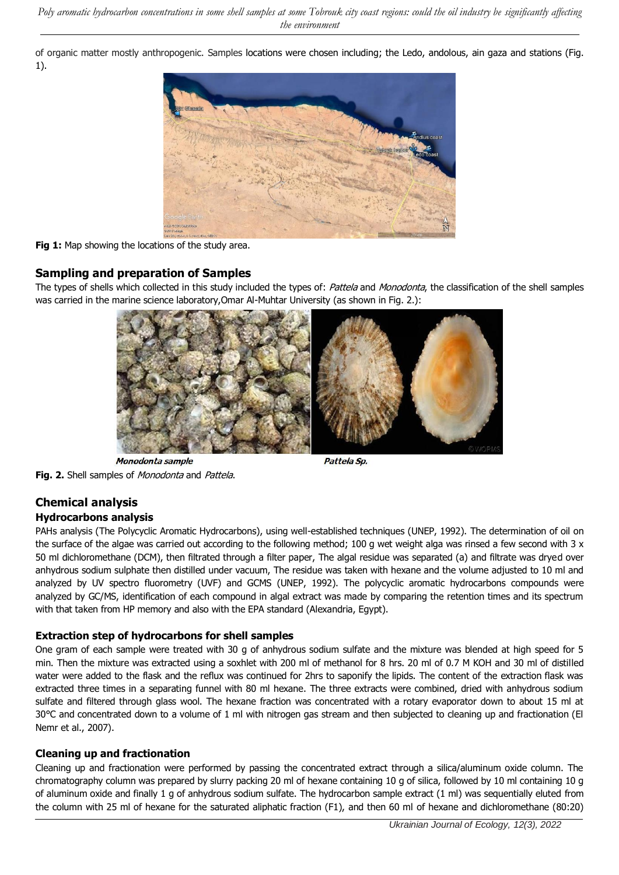of organic matter mostly anthropogenic. Samples locations were chosen including; the Ledo, andolous, ain gaza and stations (Fig. 1).



#### **Fig 1:** Map showing the locations of the study area.

#### **Sampling and preparation of Samples**

The types of shells which collected in this study included the types of: Pattela and Monodonta, the classification of the shell samples was carried in the marine science laboratory,Omar Al-Muhtar University (as shown in Fig. 2.):



**Fig. 2.** Shell samples of *Monodonta* and *Pattela*.

## **Chemical analysis**

#### **Hydrocarbons analysis**

PAHs analysis (The Polycyclic Aromatic Hydrocarbons), using well-established techniques (UNEP, 1992). The determination of oil on the surface of the algae was carried out according to the following method; 100 g wet weight alga was rinsed a few second with 3 x 50 ml dichloromethane (DCM), then filtrated through a filter paper, The algal residue was separated (a) and filtrate was dryed over anhydrous sodium sulphate then distilled under vacuum, The residue was taken with hexane and the volume adjusted to 10 ml and analyzed by UV spectro fluorometry (UVF) and GCMS (UNEP, 1992). The polycyclic aromatic hydrocarbons compounds were analyzed by GC/MS, identification of each compound in algal extract was made by comparing the retention times and its spectrum with that taken from HP memory and also with the EPA standard (Alexandria, Egypt).

#### **Extraction step of hydrocarbons for shell samples**

One gram of each sample were treated with 30 g of anhydrous sodium sulfate and the mixture was blended at high speed for 5 min. Then the mixture was extracted using a soxhlet with 200 ml of methanol for 8 hrs. 20 ml of 0.7 M KOH and 30 ml of distilled water were added to the flask and the reflux was continued for 2hrs to saponify the lipids. The content of the extraction flask was extracted three times in a separating funnel with 80 ml hexane. The three extracts were combined, dried with anhydrous sodium sulfate and filtered through glass wool. The hexane fraction was concentrated with a rotary evaporator down to about 15 ml at 30°C and concentrated down to a volume of 1 ml with nitrogen gas stream and then subjected to cleaning up and fractionation (El Nemr et al., 2007).

#### **Cleaning up and fractionation**

Cleaning up and fractionation were performed by passing the concentrated extract through a silica/aluminum oxide column. The chromatography column was prepared by slurry packing 20 ml of hexane containing 10 g of silica, followed by 10 ml containing 10 g of aluminum oxide and finally 1 g of anhydrous sodium sulfate. The hydrocarbon sample extract (1 ml) was sequentially eluted from the column with 25 ml of hexane for the saturated aliphatic fraction (F1), and then 60 ml of hexane and dichloromethane (80:20)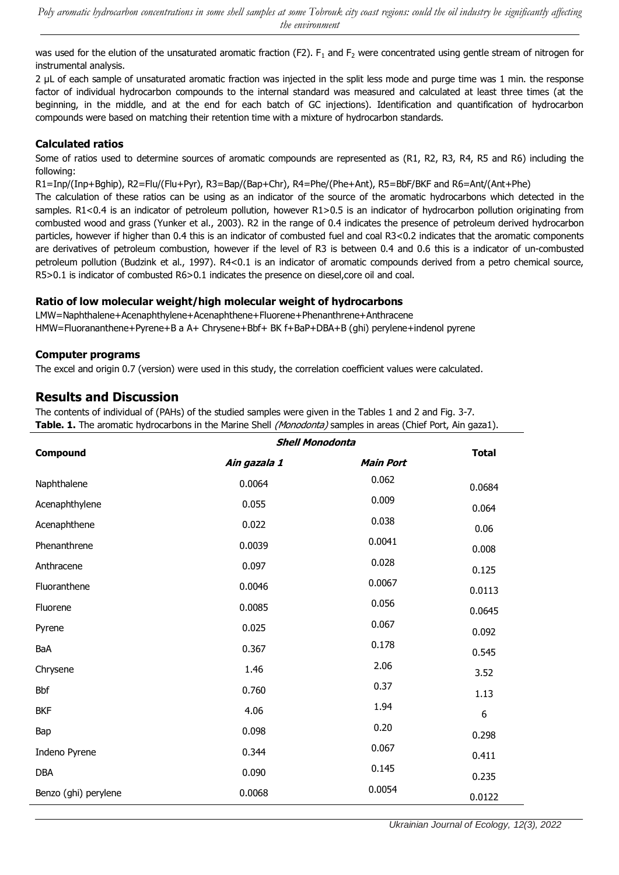was used for the elution of the unsaturated aromatic fraction (F2). F<sub>1</sub> and F<sub>2</sub> were concentrated using gentle stream of nitrogen for instrumental analysis.

2 µL of each sample of unsaturated aromatic fraction was injected in the split less mode and purge time was 1 min. the response factor of individual hydrocarbon compounds to the internal standard was measured and calculated at least three times (at the beginning, in the middle, and at the end for each batch of GC injections). Identification and quantification of hydrocarbon compounds were based on matching their retention time with a mixture of hydrocarbon standards.

#### **Calculated ratios**

Some of ratios used to determine sources of aromatic compounds are represented as (R1, R2, R3, R4, R5 and R6) including the following:

R1=Inp/(Inp+Bghip), R2=Flu/(Flu+Pyr), R3=Bap/(Bap+Chr), R4=Phe/(Phe+Ant), R5=BbF/BKF and R6=Ant/(Ant+Phe)

The calculation of these ratios can be using as an indicator of the source of the aromatic hydrocarbons which detected in the samples. R1<0.4 is an indicator of petroleum pollution, however R1>0.5 is an indicator of hydrocarbon pollution originating from combusted wood and grass (Yunker et al., 2003). R2 in the range of 0.4 indicates the presence of petroleum derived hydrocarbon particles, however if higher than 0.4 this is an indicator of combusted fuel and coal R3<0.2 indicates that the aromatic components are derivatives of petroleum combustion, however if the level of R3 is between 0.4 and 0.6 this is a indicator of un-combusted petroleum pollution (Budzink et al., 1997). R4<0.1 is an indicator of aromatic compounds derived from a petro chemical source, R5>0.1 is indicator of combusted R6>0.1 indicates the presence on diesel,core oil and coal.

#### **Ratio of low molecular weight/high molecular weight of hydrocarbons**

LMW=Naphthalene+Acenaphthylene+Acenaphthene+Fluorene+Phenanthrene+Anthracene HMW=Fluorananthene+Pyrene+B a A+ Chrysene+Bbf+ BK f+BaP+DBA+B (ghi) perylene+indenol pyrene

#### **Computer programs**

The excel and origin 0.7 (version) were used in this study, the correlation coefficient values were calculated.

## **Results and Discussion**

The contents of individual of (PAHs) of the studied samples were given in the Tables 1 and 2 and Fig. 3-7. **Table. 1.** The aromatic hydrocarbons in the Marine Shell (Monodonta) samples in areas (Chief Port, Ain gaza1).

| <b>Compound</b>      | <b>Shell Monodonta</b> | <b>Total</b>     |        |
|----------------------|------------------------|------------------|--------|
|                      | Ain gazala 1           | <b>Main Port</b> |        |
| Naphthalene          | 0.0064                 | 0.062            | 0.0684 |
| Acenaphthylene       | 0.055                  | 0.009            | 0.064  |
| Acenaphthene         | 0.022                  | 0.038            | 0.06   |
| Phenanthrene         | 0.0039                 | 0.0041           | 0.008  |
| Anthracene           | 0.097                  | 0.028            | 0.125  |
| Fluoranthene         | 0.0046                 | 0.0067           | 0.0113 |
| Fluorene             | 0.0085                 |                  | 0.0645 |
| Pyrene               | 0.025                  | 0.067            | 0.092  |
| BaA                  | 0.367                  | 0.178            | 0.545  |
| Chrysene             | 1.46                   |                  | 3.52   |
| <b>Bbf</b>           | 0.760                  | 0.37             | 1.13   |
| <b>BKF</b>           | 4.06                   | 1.94             | 6      |
| Bap                  | 0.098                  | 0.20             | 0.298  |
| Indeno Pyrene        | 0.344                  | 0.067            | 0.411  |
| DBA                  | 0.090                  | 0.145            | 0.235  |
| Benzo (ghi) perylene | 0.0068                 | 0.0054           | 0.0122 |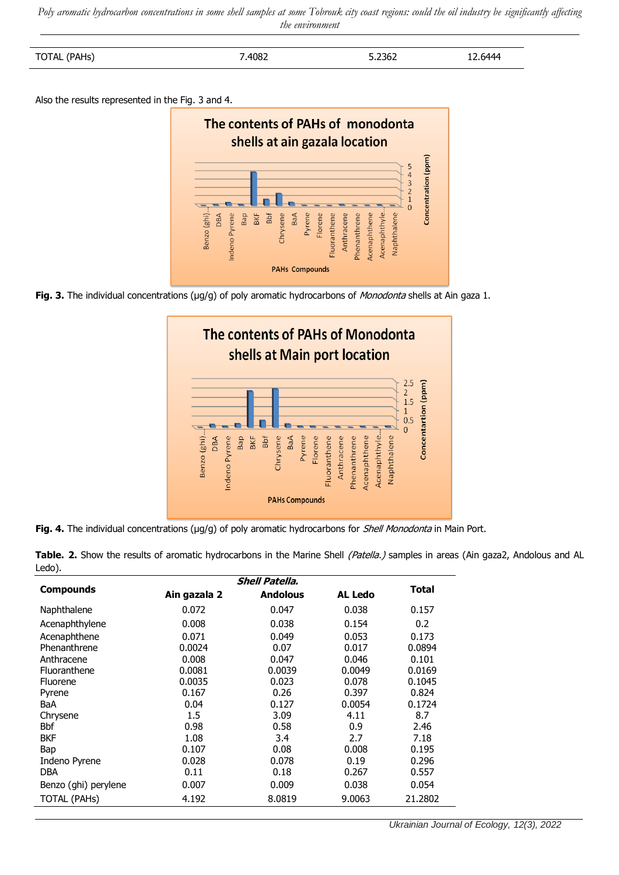*Poly aromatic hydrocarbon concentrations in some shell samples at some Tobrouk city coast regions: could the oil industry be significantly affecting the environment*

| $\cdots$<br>.<br>.<br>. .<br>$\sim$ | 4082<br>_ | ר 2367<br><b>J.LJUL</b> | -- |
|-------------------------------------|-----------|-------------------------|----|

Also the results represented in the Fig. 3 and 4.



Fig. 3. The individual concentrations (µg/g) of poly aromatic hydrocarbons of *Monodonta* shells at Ain gaza 1.



**Fig. 4.** The individual concentrations (µq/q) of poly aromatic hydrocarbons for *Shell Monodonta* in Main Port.

|        | <b>Shell Patella.</b>                                                                                                                         | - - - |  |  |
|--------|-----------------------------------------------------------------------------------------------------------------------------------------------|-------|--|--|
| Ledo). |                                                                                                                                               |       |  |  |
|        | <b>Table. 2.</b> Show the results of aromatic hydrocarbons in the Marine Shell <i>(Patella.)</i> samples in areas (Ain gaza2, Andolous and AL |       |  |  |

|                      | <b>Shell Patella.</b> |                 |                |              |
|----------------------|-----------------------|-----------------|----------------|--------------|
| <b>Compounds</b>     | Ain gazala 2          | <b>Andolous</b> | <b>AL Ledo</b> | <b>Total</b> |
| Naphthalene          | 0.072                 | 0.047           | 0.038          | 0.157        |
| Acenaphthylene       | 0.008                 | 0.038           | 0.154          | 0.2          |
| Acenaphthene         | 0.071                 | 0.049           | 0.053          | 0.173        |
| Phenanthrene         | 0.0024                | 0.07            | 0.017          | 0.0894       |
| Anthracene           | 0.008                 | 0.047           | 0.046          | 0.101        |
| Fluoranthene         | 0.0081                | 0.0039          | 0.0049         | 0.0169       |
| <b>Fluorene</b>      | 0.0035                | 0.023           | 0.078          | 0.1045       |
| Pyrene               | 0.167                 | 0.26            | 0.397          | 0.824        |
| BaA                  | 0.04                  | 0.127           | 0.0054         | 0.1724       |
| Chrysene             | 1.5                   | 3.09            | 4.11           | 8.7          |
| <b>Bbf</b>           | 0.98                  | 0.58            | 0.9            | 2.46         |
| <b>BKF</b>           | 1.08                  | 3.4             | 2.7            | 7.18         |
| Bap                  | 0.107                 | 0.08            | 0.008          | 0.195        |
| Indeno Pyrene        | 0.028                 | 0.078           | 0.19           | 0.296        |
| DBA                  | 0.11                  | 0.18            | 0.267          | 0.557        |
| Benzo (ghi) perylene | 0.007                 | 0.009           | 0.038          | 0.054        |
| <b>TOTAL (PAHs)</b>  | 4.192                 | 8.0819          | 9.0063         | 21.2802      |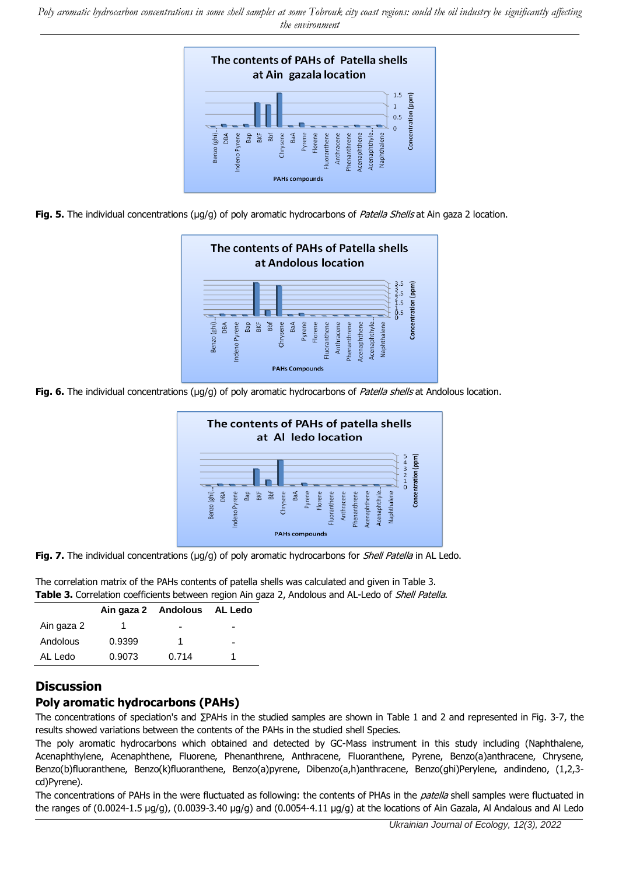*Poly aromatic hydrocarbon concentrations in some shell samples at some Tobrouk city coast regions: could the oil industry be significantly affecting the environment*



**Fig. 5.** The individual concentrations (µg/g) of poly aromatic hydrocarbons of *Patella Shells* at Ain gaza 2 location.



Fig. 6. The individual concentrations (µg/g) of poly aromatic hydrocarbons of Patella shells at Andolous location.



**Fig. 7.** The individual concentrations (µg/g) of poly aromatic hydrocarbons for *Shell Patella* in AL Ledo.

The correlation matrix of the PAHs contents of patella shells was calculated and given in Table 3. Table 3. Correlation coefficients between region Ain gaza 2, Andolous and AL-Ledo of Shell Patella.

|            |        | Ain gaza 2 Andolous AL Ledo |                          |
|------------|--------|-----------------------------|--------------------------|
| Ain gaza 2 |        | -                           |                          |
| Andolous   | 0.9399 |                             | $\overline{\phantom{0}}$ |
| AL Ledo    | 0.9073 | 0.714                       |                          |

## **Discussion**

#### **Poly aromatic hydrocarbons (PAHs)**

The concentrations of speciation's and ∑PAHs in the studied samples are shown in Table 1 and 2 and represented in Fig. 3-7, the results showed variations between the contents of the PAHs in the studied shell Species.

The poly aromatic hydrocarbons which obtained and detected by GC-Mass instrument in this study including (Naphthalene, Acenaphthylene, Acenaphthene, Fluorene, Phenanthrene, Anthracene, Fluoranthene, Pyrene, Benzo(a)anthracene, Chrysene, Benzo(b)fluoranthene, Benzo(k)fluoranthene, Benzo(a)pyrene, Dibenzo(a,h)anthracene, Benzo(ghi)Perylene, andindeno, (1,2,3 cd)Pyrene).

The concentrations of PAHs in the were fluctuated as following: the contents of PHAs in the *patella* shell samples were fluctuated in the ranges of (0.0024-1.5 µg/g), (0.0039-3.40 µg/g) and (0.0054-4.11 µg/g) at the locations of Ain Gazala, Al Andalous and Al Ledo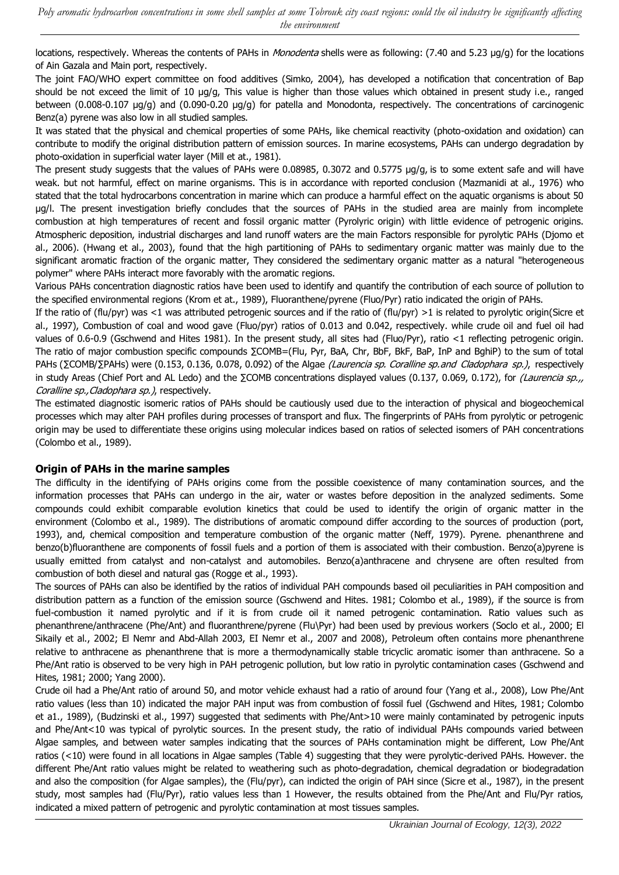locations, respectively. Whereas the contents of PAHs in *Monodenta* shells were as following: (7.40 and 5.23 µg/g) for the locations of Ain Gazala and Main port, respectively.

The joint FAO/WHO expert committee on food additives (Simko, 2004), has developed a notification that concentration of Bap should be not exceed the limit of 10 µg/g, This value is higher than those values which obtained in present study i.e., ranged between (0.008-0.107 µg/g) and (0.090-0.20 µg/g) for patella and Monodonta, respectively. The concentrations of carcinogenic Benz(a) pyrene was also low in all studied samples.

It was stated that the physical and chemical properties of some PAHs, like chemical reactivity (photo-oxidation and oxidation) can contribute to modify the original distribution pattern of emission sources. In marine ecosystems, PAHs can undergo degradation by photo-oxidation in superficial water layer (Mill et at., 1981).

The present study suggests that the values of PAHs were 0.08985, 0.3072 and 0.5775 µg/g, is to some extent safe and will have weak. but not harmful, effect on marine organisms. This is in accordance with reported conclusion (Mazmanidi at al., 1976) who stated that the total hydrocarbons concentration in marine which can produce a harmful effect on the aquatic organisms is about 50 µg/l. The present investigation briefly concludes that the sources of PAHs in the studied area are mainly from incomplete combustion at high temperatures of recent and fossil organic matter (Pyrolyric origin) with little evidence of petrogenic origins. Atmospheric deposition, industrial discharges and land runoff waters are the main Factors responsible for pyrolytic PAHs (Djomo et al., 2006). (Hwang et al., 2003), found that the high partitioning of PAHs to sedimentary organic matter was mainly due to the significant aromatic fraction of the organic matter, They considered the sedimentary organic matter as a natural "heterogeneous polymer" where PAHs interact more favorably with the aromatic regions.

Various PAHs concentration diagnostic ratios have been used to identify and quantify the contribution of each source of pollution to the specified environmental regions (Krom et at., 1989), Fluoranthene/pyrene (Fluo/Pyr) ratio indicated the origin of PAHs.

If the ratio of (flu/pyr) was <1 was attributed petrogenic sources and if the ratio of (flu/pyr) >1 is related to pyrolytic origin(Sicre et al., 1997), Combustion of coal and wood gave (Fluo/pyr) ratios of 0.013 and 0.042, respectively. while crude oil and fuel oil had values of 0.6-0.9 (Gschwend and Hites 1981). In the present study, all sites had (Fluo/Pyr), ratio <1 reflecting petrogenic origin. The ratio of major combustion specific compounds ∑COMB=(Flu, Pyr, BaA, Chr, BbF, BkF, BaP, InP and BghiP) to the sum of total PAHs (∑COMB/∑PAHs) were (0.153, 0.136, 0.078, 0.092) of the Algae (Laurencia sp. Coralline sp.and Cladophara sp.), respectively in study Areas (Chief Port and AL Ledo) and the ΣCOMB concentrations displayed values (0.137, 0.069, 0.172), for (Laurencia sp., Coralline sp., Cladophara sp.), respectively.

The estimated diagnostic isomeric ratios of PAHs should be cautiously used due to the interaction of physical and biogeochemical processes which may alter PAH profiles during processes of transport and flux. The fingerprints of PAHs from pyrolytic or petrogenic origin may be used to differentiate these origins using molecular indices based on ratios of selected isomers of PAH concentrations (Colombo et al., 1989).

#### **Origin of PAHs in the marine samples**

The difficulty in the identifying of PAHs origins come from the possible coexistence of many contamination sources, and the information processes that PAHs can undergo in the air, water or wastes before deposition in the analyzed sediments. Some compounds could exhibit comparable evolution kinetics that could be used to identify the origin of organic matter in the environment (Colombo et al., 1989). The distributions of aromatic compound differ according to the sources of production (port, 1993), and, chemical composition and temperature combustion of the organic matter (Neff, 1979). Pyrene. phenanthrene and benzo(b)fluoranthene are components of fossil fuels and a portion of them is associated with their combustion. Benzo(a)pyrene is usually emitted from catalyst and non-catalyst and automobiles. Benzo(a)anthracene and chrysene are often resulted from combustion of both diesel and natural gas (Rogge et al., 1993).

The sources of PAHs can also be identified by the ratios of individual PAH compounds based oil peculiarities in PAH composition and distribution pattern as a function of the emission source (Gschwend and Hites. 1981; Colombo et al., 1989), if the source is from fuel-combustion it named pyrolytic and if it is from crude oil it named petrogenic contamination. Ratio values such as phenanthrene/anthracene (Phe/Ant) and fluoranthrene/pyrene (Flu\Pyr) had been used by previous workers (Soclo et al., 2000; El Sikaily et al., 2002; El Nemr and Abd-Allah 2003, EI Nemr et al., 2007 and 2008), Petroleum often contains more phenanthrene relative to anthracene as phenanthrene that is more a thermodynamically stable tricyclic aromatic isomer than anthracene. So a Phe/Ant ratio is observed to be very high in PAH petrogenic pollution, but low ratio in pyrolytic contamination cases (Gschwend and Hites, 1981; 2000; Yang 2000).

Crude oil had a Phe/Ant ratio of around 50, and motor vehicle exhaust had a ratio of around four (Yang et al., 2008), Low Phe/Ant ratio values (less than 10) indicated the major PAH input was from combustion of fossil fuel (Gschwend and Hites, 1981; Colombo et a1., 1989), (Budzinski et al., 1997) suggested that sediments with Phe/Ant>10 were mainly contaminated by petrogenic inputs and Phe/Ant<10 was typical of pyrolytic sources. In the present study, the ratio of individual PAHs compounds varied between Algae samples, and between water samples indicating that the sources of PAHs contamination might be different, Low Phe/Ant ratios (<10) were found in all locations in Algae samples (Table 4) suggesting that they were pyrolytic-derived PAHs. However. the different Phe/Ant ratio values might be related to weathering such as photo-degradation, chemical degradation or biodegradation and also the composition (for Algae samples), the (Flu/pyr), can indicted the origin of PAH since (Sicre et al., 1987), in the present study, most samples had (Flu/Pyr), ratio values less than 1 However, the results obtained from the Phe/Ant and Flu/Pyr ratios, indicated a mixed pattern of petrogenic and pyrolytic contamination at most tissues samples.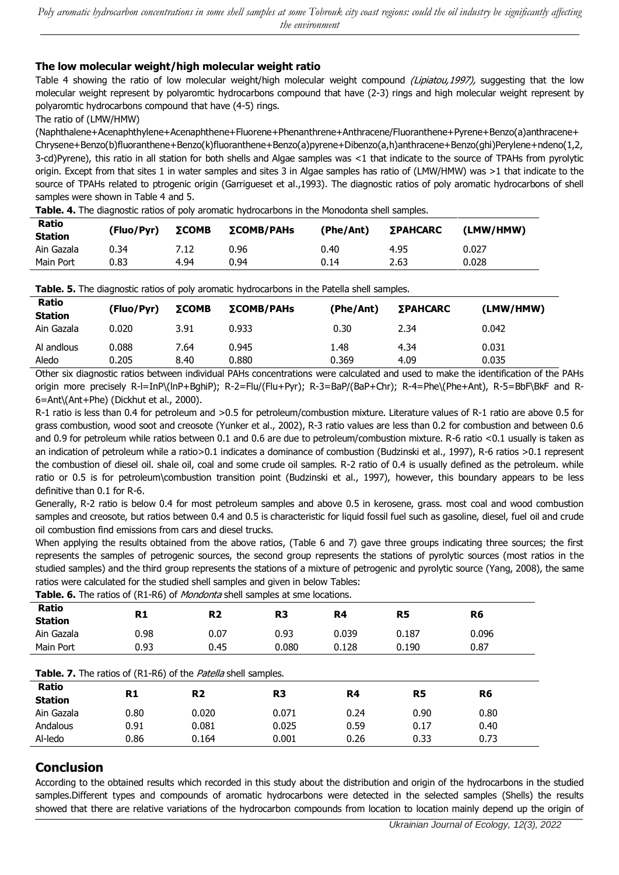#### **The low molecular weight/high molecular weight ratio**

Table 4 showing the ratio of low molecular weight/high molecular weight compound (Lipiatou,1997), suggesting that the low molecular weight represent by polyaromtic hydrocarbons compound that have (2-3) rings and high molecular weight represent by polyaromtic hydrocarbons compound that have (4-5) rings.

The ratio of (LMW/HMW)

(Naphthalene+Acenaphthylene+Acenaphthene+Fluorene+Phenanthrene+Anthracene/Fluoranthene+Pyrene+Benzo(a)anthracene+ Chrysene+Benzo(b)fluoranthene+Benzo(k)fluoranthene+Benzo(a)pyrene+Dibenzo(a,h)anthracene+Benzo(ghi)Perylene+ndeno(1,2, 3-cd)Pyrene), this ratio in all station for both shells and Algae samples was <1 that indicate to the source of TPAHs from pyrolytic origin. Except from that sites 1 in water samples and sites 3 in Algae samples has ratio of (LMW/HMW) was >1 that indicate to the source of TPAHs related to ptrogenic origin (Garrigueset et al.,1993). The diagnostic ratios of poly aromatic hydrocarbons of shell samples were shown in Table 4 and 5.

**Table. 4.** The diagnostic ratios of poly aromatic hydrocarbons in the Monodonta shell samples.

| <b>Ratio</b><br><b>Station</b> | (Fluo/Pyr) | ΣCOMB | <b>ΣCOMB/PAHs</b> | (Phe/Ant) | ΣΡΑΗCARC | (LMW/HMW) |
|--------------------------------|------------|-------|-------------------|-----------|----------|-----------|
| Ain Gazala                     | 0.34       | 7.12  | 0.96              | 0.40      | 4.95     | 0.027     |
| Main Port                      | 0.83       | 4.94  | 0.94              | 0.14      | 2.63     | 0.028     |

| Table. 5. The diagnostic ratios of poly aromatic hydrocarbons in the Patella shell samples. |                |              |                    |               |                 |                |  |  |
|---------------------------------------------------------------------------------------------|----------------|--------------|--------------------|---------------|-----------------|----------------|--|--|
| Ratio<br><b>Station</b>                                                                     | (Fluo/Pyr)     | ΣCOMB        | $\Sigma COMB/PAHs$ | (Phe/Ant)     | <b>ΣΡΑΗCARC</b> | (LMW/HMW)      |  |  |
| Ain Gazala                                                                                  | 0.020          | 3.91         | 0.933              | 0.30          | 2.34            | 0.042          |  |  |
| Al andlous<br>Aledo                                                                         | 0.088<br>0.205 | 7.64<br>8.40 | 0.945<br>0.880     | 1.48<br>0.369 | 4.34<br>4.09    | 0.031<br>0.035 |  |  |

Other six diagnostic ratios between individual PAHs concentrations were calculated and used to make the identification of the PAHs origin more precisely R-l=InP\(lnP+BghiP); R-2=Flu/(Flu+Pyr); R-3=BaP/(BaP+Chr); R-4=Phe\(Phe+Ant), R-5=BbF\BkF and R-6=Ant\(Ant+Phe) (Dickhut et al., 2000).

R-1 ratio is less than 0.4 for petroleum and >0.5 for petroleum/combustion mixture. Literature values of R-1 ratio are above 0.5 for grass combustion, wood soot and creosote (Yunker et al., 2002), R-3 ratio values are less than 0.2 for combustion and between 0.6 and 0.9 for petroleum while ratios between 0.1 and 0.6 are due to petroleum/combustion mixture. R-6 ratio <0.1 usually is taken as an indication of petroleum while a ratio>0.1 indicates a dominance of combustion (Budzinski et al., 1997), R-6 ratios >0.1 represent the combustion of diesel oil. shale oil, coal and some crude oil samples. R-2 ratio of 0.4 is usually defined as the petroleum. while ratio or 0.5 is for petroleum\combustion transition point (Budzinski et al., 1997), however, this boundary appears to be less definitive than 0.1 for R-6.

Generally, R-2 ratio is below 0.4 for most petroleum samples and above 0.5 in kerosene, grass. most coal and wood combustion samples and creosote, but ratios between 0.4 and 0.5 is characteristic for liquid fossil fuel such as gasoline, diesel, fuel oil and crude oil combustion find emissions from cars and diesel trucks.

When applying the results obtained from the above ratios, (Table 6 and 7) gave three groups indicating three sources; the first represents the samples of petrogenic sources, the second group represents the stations of pyrolytic sources (most ratios in the studied samples) and the third group represents the stations of a mixture of petrogenic and pyrolytic source (Yang, 2008), the same ratios were calculated for the studied shell samples and given in below Tables:

**Table. 6.** The ratios of (R1-R6) of *Mondonta* shell samples at sme locations.

| Ratio<br><b>Station</b>                                       | R1   | <b>R2</b>      | R <sub>3</sub> | R4    | R <sub>5</sub> | R <sub>6</sub> |  |
|---------------------------------------------------------------|------|----------------|----------------|-------|----------------|----------------|--|
| Ain Gazala                                                    | 0.98 | 0.07           | 0.93           | 0.039 | 0.187          | 0.096          |  |
| Main Port                                                     | 0.93 | 0.45           | 0.080          | 0.128 | 0.190          | 0.87           |  |
| Table. 7. The ratios of (R1-R6) of the Patella shell samples. |      |                |                |       |                |                |  |
| Ratio<br><b>Station</b>                                       | R1   | R <sub>2</sub> | R <sub>3</sub> | R4    | R5             | R <sub>6</sub> |  |
| Ain Gazala                                                    | 0.80 | 0.020          | 0.071          | 0.24  | 0.90           | 0.80           |  |
| Andalous                                                      | 0.91 | 0.081          | 0.025          | 0.59  | 0.17           | 0.40           |  |
| Al-ledo                                                       | 0.86 | 0.164          | 0.001          | 0.26  | 0.33           | 0.73           |  |

# **Conclusion**

According to the obtained results which recorded in this study about the distribution and origin of the hydrocarbons in the studied samples.Different types and compounds of aromatic hydrocarbons were detected in the selected samples (Shells) the results showed that there are relative variations of the hydrocarbon compounds from location to location mainly depend up the origin of